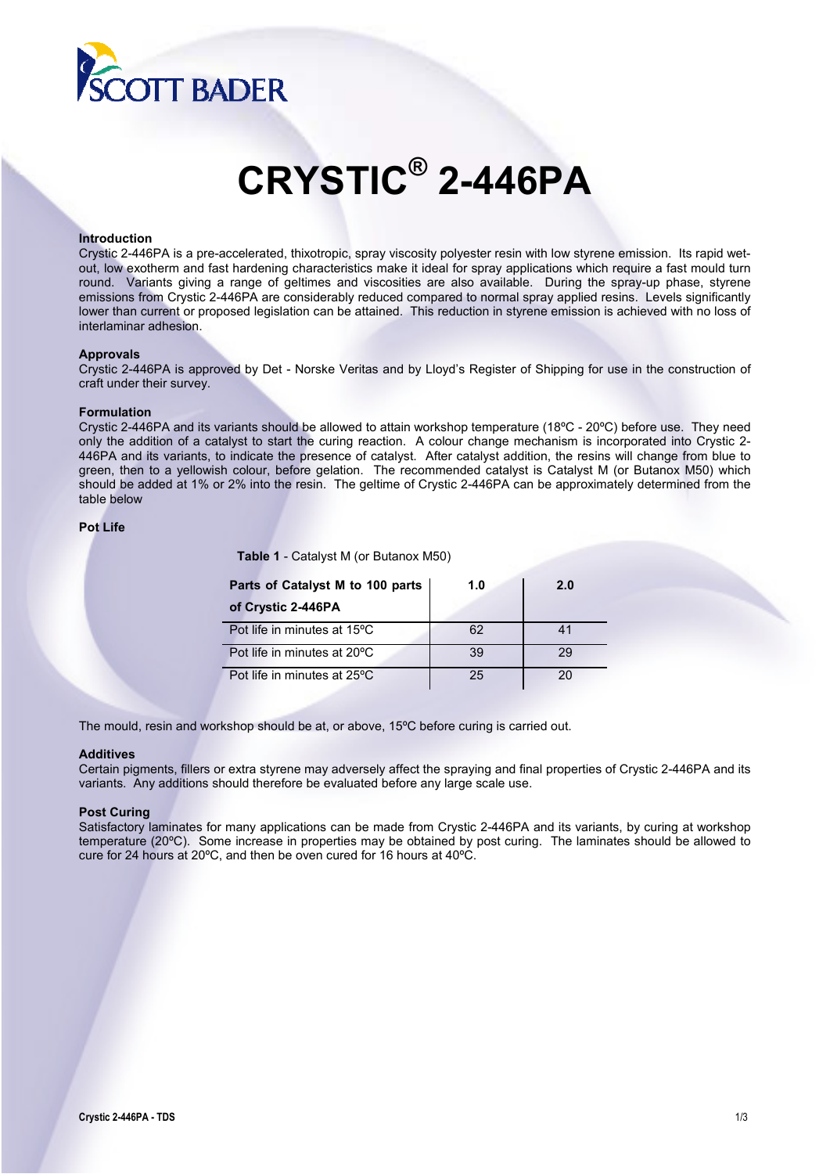

# **CRYSTIC® 2-446PA**

#### **Introduction**

Crystic 2-446PA is a pre-accelerated, thixotropic, spray viscosity polyester resin with low styrene emission. Its rapid wetout, low exotherm and fast hardening characteristics make it ideal for spray applications which require a fast mould turn round. Variants giving a range of geltimes and viscosities are also available. During the spray-up phase, styrene emissions from Crystic 2-446PA are considerably reduced compared to normal spray applied resins. Levels significantly lower than current or proposed legislation can be attained. This reduction in styrene emission is achieved with no loss of interlaminar adhesion.

### **Approvals**

Crystic 2-446PA is approved by Det - Norske Veritas and by Lloyd's Register of Shipping for use in the construction of craft under their survey.

#### **Formulation**

Crystic 2-446PA and its variants should be allowed to attain workshop temperature (18ºC - 20ºC) before use. They need only the addition of a catalyst to start the curing reaction. A colour change mechanism is incorporated into Crystic 2- 446PA and its variants, to indicate the presence of catalyst. After catalyst addition, the resins will change from blue to green, then to a yellowish colour, before gelation. The recommended catalyst is Catalyst M (or Butanox M50) which should be added at 1% or 2% into the resin. The geltime of Crystic 2-446PA can be approximately determined from the table below

# **Pot Life**

**Table 1** - Catalyst M (or Butanox M50)

| Parts of Catalyst M to 100 parts | 1.0 | 2.0 |
|----------------------------------|-----|-----|
| of Crystic 2-446PA               |     |     |
| Pot life in minutes at 15°C      | 62  | 41  |
| Pot life in minutes at 20°C      | 39  | 29  |
| Pot life in minutes at 25°C      | 25  |     |

The mould, resin and workshop should be at, or above, 15ºC before curing is carried out.

#### **Additives**

Certain pigments, fillers or extra styrene may adversely affect the spraying and final properties of Crystic 2-446PA and its variants. Any additions should therefore be evaluated before any large scale use.

#### **Post Curing**

Satisfactory laminates for many applications can be made from Crystic 2-446PA and its variants, by curing at workshop temperature (20ºC). Some increase in properties may be obtained by post curing. The laminates should be allowed to cure for 24 hours at 20ºC, and then be oven cured for 16 hours at 40ºC.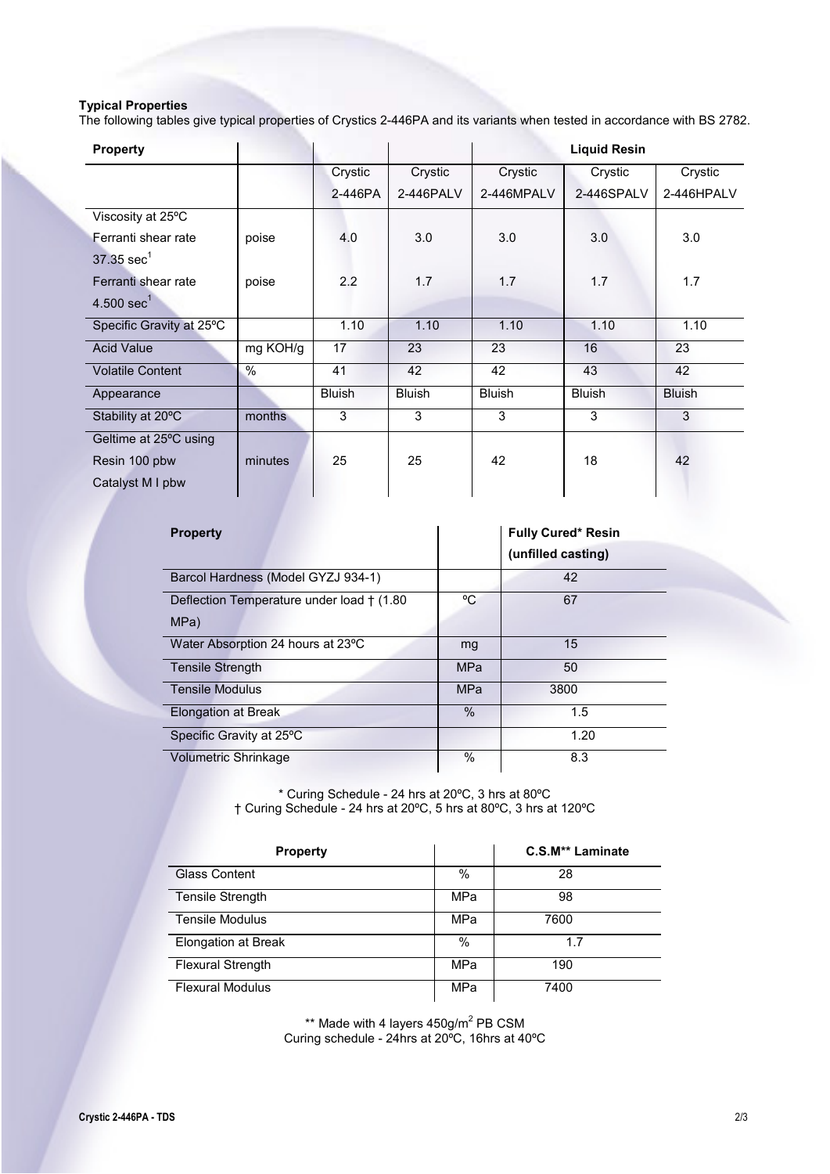# **Typical Properties**

The following tables give typical properties of Crystics 2-446PA and its variants when tested in accordance with BS 2782.

| <b>Property</b>          |          |               |               |               | <b>Liquid Resin</b> |               |
|--------------------------|----------|---------------|---------------|---------------|---------------------|---------------|
|                          |          | Crystic       | Crystic       | Crystic       | Crystic             | Crystic       |
|                          |          | 2-446PA       | 2-446PALV     | 2-446MPALV    | 2-446SPALV          | 2-446HPALV    |
| Viscosity at 25°C        |          |               |               |               |                     |               |
| Ferranti shear rate      | poise    | 4.0           | 3.0           | 3.0           | 3.0                 | 3.0           |
| $37.35$ sec <sup>1</sup> |          |               |               |               |                     |               |
| Ferranti shear rate      | poise    | 2.2           | 1.7           | 1.7           | 1.7                 | 1.7           |
| $4.500 \text{ sec}^1$    |          |               |               |               |                     |               |
| Specific Gravity at 25°C |          | 1.10          | 1.10          | 1.10          | 1.10                | 1.10          |
| <b>Acid Value</b>        | mg KOH/g | 17            | 23            | 23            | 16                  | 23            |
| <b>Volatile Content</b>  | $\%$     | 41            | 42            | 42            | 43                  | 42            |
| Appearance               |          | <b>Bluish</b> | <b>Bluish</b> | <b>Bluish</b> | <b>Bluish</b>       | <b>Bluish</b> |
| Stability at 20°C        | months   | 3             | 3             | 3             | 3                   | 3             |
| Geltime at 25°C using    |          |               |               |               |                     |               |
| Resin 100 pbw            | minutes  | 25            | 25            | 42            | 18                  | 42            |
| Catalyst M I pbw         |          |               |               |               |                     |               |

| <b>Property</b>                                    |            | <b>Fully Cured* Resin</b><br>(unfilled casting) |
|----------------------------------------------------|------------|-------------------------------------------------|
| Barcol Hardness (Model GYZJ 934-1)                 |            | 42                                              |
| Deflection Temperature under load † (1.80)<br>MPa) | °C         | 67                                              |
| Water Absorption 24 hours at 23°C                  | mg         | 15                                              |
| <b>Tensile Strength</b>                            | <b>MPa</b> | 50                                              |
| <b>Tensile Modulus</b>                             | <b>MPa</b> | 3800                                            |
| Elongation at Break                                | $\%$       | 1.5                                             |
| Specific Gravity at 25°C                           |            | 1.20                                            |
| <b>Volumetric Shrinkage</b>                        | $\%$       | 8.3                                             |

\* Curing Schedule - 24 hrs at 20ºC, 3 hrs at 80ºC † Curing Schedule - 24 hrs at 20ºC, 5 hrs at 80ºC, 3 hrs at 120ºC

| <b>Property</b>          |      | C.S.M** Laminate |
|--------------------------|------|------------------|
| <b>Glass Content</b>     | $\%$ | 28               |
| <b>Tensile Strength</b>  | MPa  | 98               |
| <b>Tensile Modulus</b>   | MPa  | 7600             |
| Elongation at Break      | $\%$ | 1.7              |
| <b>Flexural Strength</b> | MPa  | 190              |
| <b>Flexural Modulus</b>  | MPa  | 7400             |

 $**$  Made with 4 layers  $450$ g/m<sup>2</sup> PB CSM Curing schedule - 24hrs at 20ºC, 16hrs at 40ºC